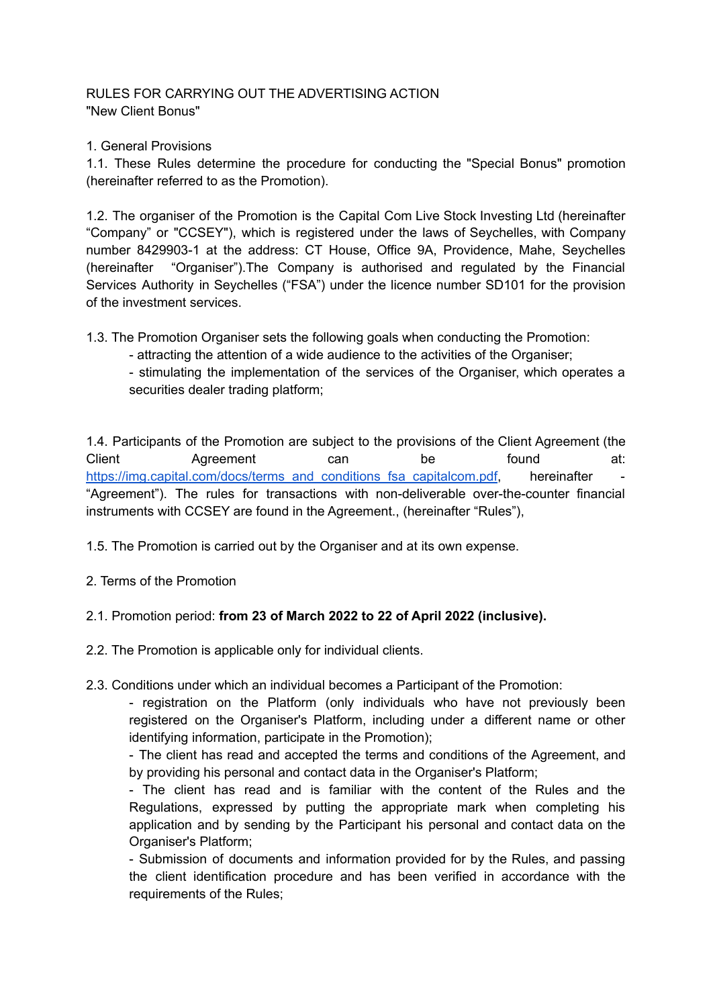## RULES FOR CARRYING OUT THE ADVERTISING ACTION "New Client Bonus"

1. General Provisions

1.1. These Rules determine the procedure for conducting the "Special Bonus" promotion (hereinafter referred to as the Promotion).

1.2. The organiser of the Promotion is the Capital Com Live Stock Investing Ltd (hereinafter "Company" or "CCSEY"), which is registered under the laws of Seychelles, with Company number 8429903-1 at the address: CT House, Office 9A, Providence, Mahe, Seychelles (hereinafter "Organiser").The Company is authorised and regulated by the Financial Services Authority in Seychelles ("FSA") under the licence number SD101 for the provision of the investment services.

1.3. The Promotion Organiser sets the following goals when conducting the Promotion:

- attracting the attention of a wide audience to the activities of the Organiser;

- stimulating the implementation of the services of the Organiser, which operates a securities dealer trading platform;

1.4. Participants of the Promotion are subject to the provisions of the Client Agreement (the Client Agreement can be found at: [https://img.capital.com/docs/terms\\_and\\_conditions\\_fsa\\_capitalcom.pdf,](https://img.capital.com/docs/terms_and_conditions_fsa_capitalcom.pdf) hereinafter "Agreement"). The rules for transactions with non-deliverable over-the-counter financial instruments with CCSEY are found in the Agreement., (hereinafter "Rules"),

1.5. The Promotion is carried out by the Organiser and at its own expense.

2. Terms of the Promotion

## 2.1. Promotion period: **from 23 of March 2022 to 22 of April 2022 (inclusive).**

2.2. The Promotion is applicable only for individual clients.

2.3. Conditions under which an individual becomes a Participant of the Promotion:

- registration on the Platform (only individuals who have not previously been registered on the Organiser's Platform, including under a different name or other identifying information, participate in the Promotion);

- The client has read and accepted the terms and conditions of the Agreement, and by providing his personal and contact data in the Organiser's Platform;

- The client has read and is familiar with the content of the Rules and the Regulations, expressed by putting the appropriate mark when completing his application and by sending by the Participant his personal and contact data on the Organiser's Platform;

- Submission of documents and information provided for by the Rules, and passing the client identification procedure and has been verified in accordance with the requirements of the Rules;